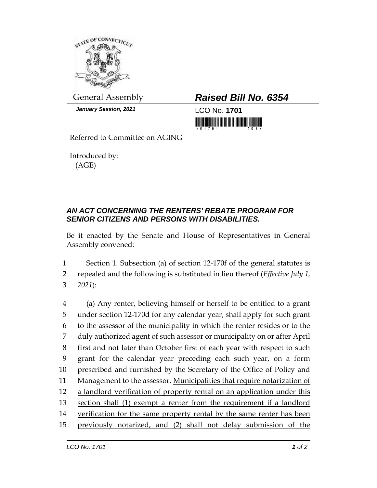

*January Session, 2021* LCO No. **1701**

General Assembly *Raised Bill No. 6354*

Referred to Committee on AGING

Introduced by: (AGE)

## *AN ACT CONCERNING THE RENTERS' REBATE PROGRAM FOR SENIOR CITIZENS AND PERSONS WITH DISABILITIES.*

Be it enacted by the Senate and House of Representatives in General Assembly convened:

1 Section 1. Subsection (a) of section 12-170f of the general statutes is 2 repealed and the following is substituted in lieu thereof (*Effective July 1,*  3 *2021*):

 (a) Any renter, believing himself or herself to be entitled to a grant under section 12-170d for any calendar year, shall apply for such grant to the assessor of the municipality in which the renter resides or to the duly authorized agent of such assessor or municipality on or after April first and not later than October first of each year with respect to such grant for the calendar year preceding each such year, on a form prescribed and furnished by the Secretary of the Office of Policy and 11 Management to the assessor. Municipalities that require notarization of 12 a landlord verification of property rental on an application under this 13 section shall (1) exempt a renter from the requirement if a landlord 14 verification for the same property rental by the same renter has been previously notarized, and (2) shall not delay submission of the